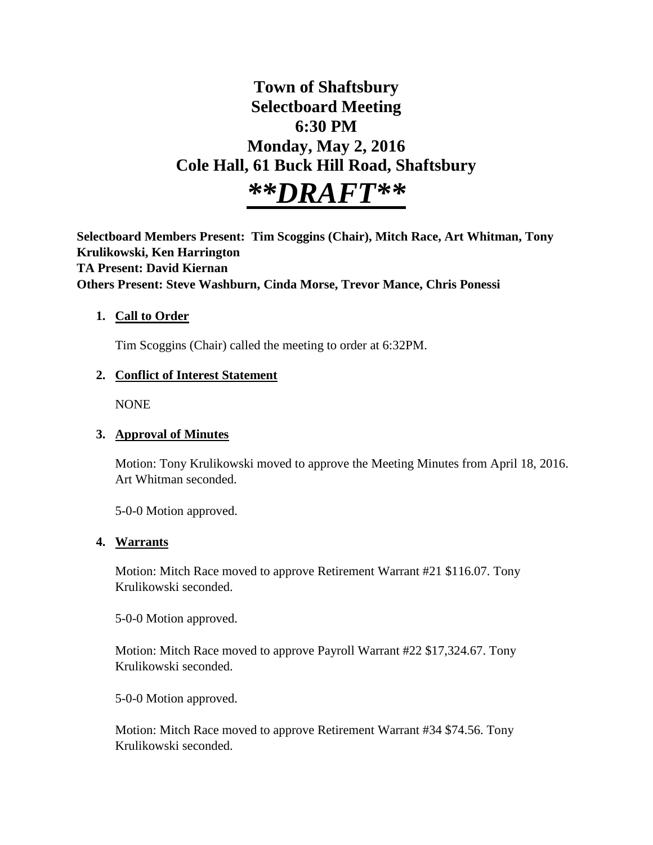# **Town of Shaftsbury Selectboard Meeting 6:30 PM Monday, May 2, 2016 Cole Hall, 61 Buck Hill Road, Shaftsbury** *\*\*DRAFT\*\**

**Selectboard Members Present: Tim Scoggins (Chair), Mitch Race, Art Whitman, Tony Krulikowski, Ken Harrington TA Present: David Kiernan Others Present: Steve Washburn, Cinda Morse, Trevor Mance, Chris Ponessi**

#### **1. Call to Order**

Tim Scoggins (Chair) called the meeting to order at 6:32PM.

#### **2. Conflict of Interest Statement**

NONE

#### **3. Approval of Minutes**

Motion: Tony Krulikowski moved to approve the Meeting Minutes from April 18, 2016. Art Whitman seconded.

5-0-0 Motion approved.

#### **4. Warrants**

Motion: Mitch Race moved to approve Retirement Warrant #21 \$116.07. Tony Krulikowski seconded.

5-0-0 Motion approved.

Motion: Mitch Race moved to approve Payroll Warrant #22 \$17,324.67. Tony Krulikowski seconded.

5-0-0 Motion approved.

Motion: Mitch Race moved to approve Retirement Warrant #34 \$74.56. Tony Krulikowski seconded.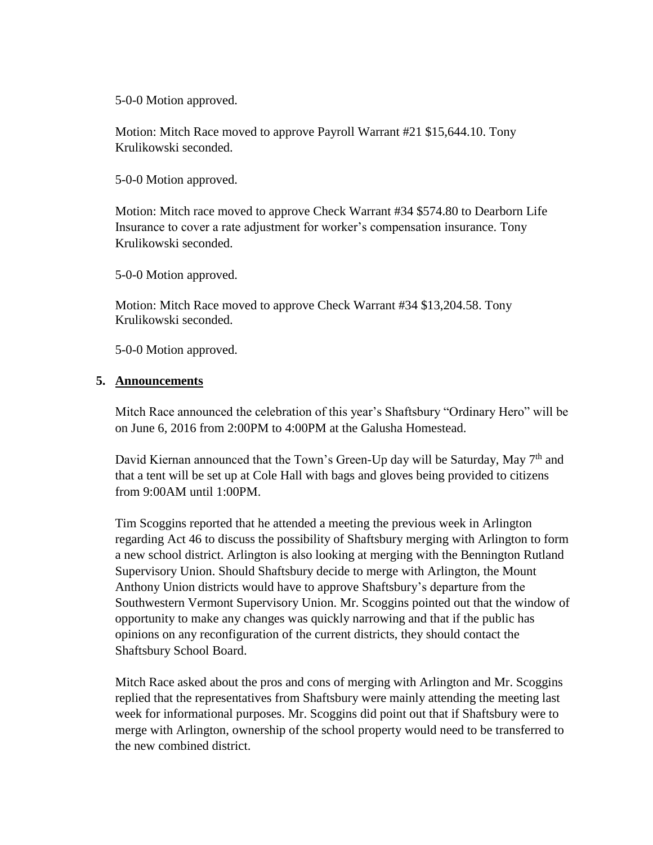5-0-0 Motion approved.

Motion: Mitch Race moved to approve Payroll Warrant #21 \$15,644.10. Tony Krulikowski seconded.

5-0-0 Motion approved.

Motion: Mitch race moved to approve Check Warrant #34 \$574.80 to Dearborn Life Insurance to cover a rate adjustment for worker's compensation insurance. Tony Krulikowski seconded.

5-0-0 Motion approved.

Motion: Mitch Race moved to approve Check Warrant #34 \$13,204.58. Tony Krulikowski seconded.

5-0-0 Motion approved.

#### **5. Announcements**

Mitch Race announced the celebration of this year's Shaftsbury "Ordinary Hero" will be on June 6, 2016 from 2:00PM to 4:00PM at the Galusha Homestead.

David Kiernan announced that the Town's Green-Up day will be Saturday, May 7<sup>th</sup> and that a tent will be set up at Cole Hall with bags and gloves being provided to citizens from 9:00AM until 1:00PM.

Tim Scoggins reported that he attended a meeting the previous week in Arlington regarding Act 46 to discuss the possibility of Shaftsbury merging with Arlington to form a new school district. Arlington is also looking at merging with the Bennington Rutland Supervisory Union. Should Shaftsbury decide to merge with Arlington, the Mount Anthony Union districts would have to approve Shaftsbury's departure from the Southwestern Vermont Supervisory Union. Mr. Scoggins pointed out that the window of opportunity to make any changes was quickly narrowing and that if the public has opinions on any reconfiguration of the current districts, they should contact the Shaftsbury School Board.

Mitch Race asked about the pros and cons of merging with Arlington and Mr. Scoggins replied that the representatives from Shaftsbury were mainly attending the meeting last week for informational purposes. Mr. Scoggins did point out that if Shaftsbury were to merge with Arlington, ownership of the school property would need to be transferred to the new combined district.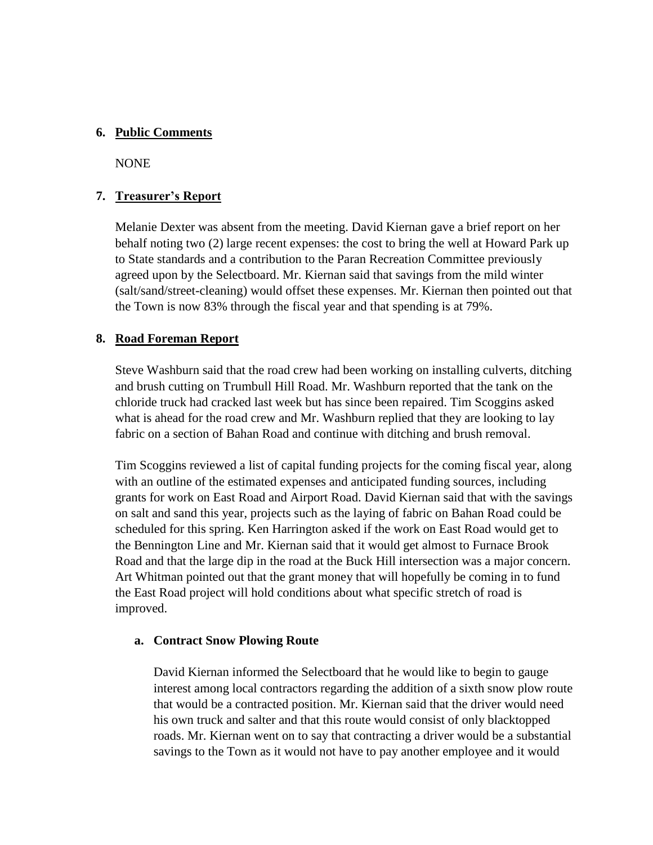#### **6. Public Comments**

NONE

#### **7. Treasurer's Report**

Melanie Dexter was absent from the meeting. David Kiernan gave a brief report on her behalf noting two (2) large recent expenses: the cost to bring the well at Howard Park up to State standards and a contribution to the Paran Recreation Committee previously agreed upon by the Selectboard. Mr. Kiernan said that savings from the mild winter (salt/sand/street-cleaning) would offset these expenses. Mr. Kiernan then pointed out that the Town is now 83% through the fiscal year and that spending is at 79%.

#### **8. Road Foreman Report**

Steve Washburn said that the road crew had been working on installing culverts, ditching and brush cutting on Trumbull Hill Road. Mr. Washburn reported that the tank on the chloride truck had cracked last week but has since been repaired. Tim Scoggins asked what is ahead for the road crew and Mr. Washburn replied that they are looking to lay fabric on a section of Bahan Road and continue with ditching and brush removal.

Tim Scoggins reviewed a list of capital funding projects for the coming fiscal year, along with an outline of the estimated expenses and anticipated funding sources, including grants for work on East Road and Airport Road. David Kiernan said that with the savings on salt and sand this year, projects such as the laying of fabric on Bahan Road could be scheduled for this spring. Ken Harrington asked if the work on East Road would get to the Bennington Line and Mr. Kiernan said that it would get almost to Furnace Brook Road and that the large dip in the road at the Buck Hill intersection was a major concern. Art Whitman pointed out that the grant money that will hopefully be coming in to fund the East Road project will hold conditions about what specific stretch of road is improved.

#### **a. Contract Snow Plowing Route**

David Kiernan informed the Selectboard that he would like to begin to gauge interest among local contractors regarding the addition of a sixth snow plow route that would be a contracted position. Mr. Kiernan said that the driver would need his own truck and salter and that this route would consist of only blacktopped roads. Mr. Kiernan went on to say that contracting a driver would be a substantial savings to the Town as it would not have to pay another employee and it would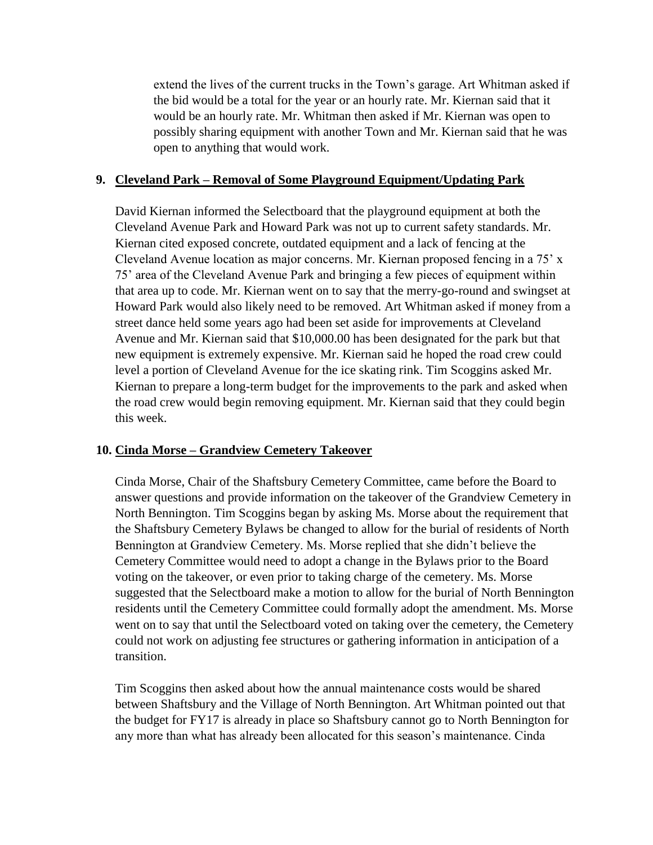extend the lives of the current trucks in the Town's garage. Art Whitman asked if the bid would be a total for the year or an hourly rate. Mr. Kiernan said that it would be an hourly rate. Mr. Whitman then asked if Mr. Kiernan was open to possibly sharing equipment with another Town and Mr. Kiernan said that he was open to anything that would work.

# **9. Cleveland Park – Removal of Some Playground Equipment/Updating Park**

David Kiernan informed the Selectboard that the playground equipment at both the Cleveland Avenue Park and Howard Park was not up to current safety standards. Mr. Kiernan cited exposed concrete, outdated equipment and a lack of fencing at the Cleveland Avenue location as major concerns. Mr. Kiernan proposed fencing in a 75' x 75' area of the Cleveland Avenue Park and bringing a few pieces of equipment within that area up to code. Mr. Kiernan went on to say that the merry-go-round and swingset at Howard Park would also likely need to be removed. Art Whitman asked if money from a street dance held some years ago had been set aside for improvements at Cleveland Avenue and Mr. Kiernan said that \$10,000.00 has been designated for the park but that new equipment is extremely expensive. Mr. Kiernan said he hoped the road crew could level a portion of Cleveland Avenue for the ice skating rink. Tim Scoggins asked Mr. Kiernan to prepare a long-term budget for the improvements to the park and asked when the road crew would begin removing equipment. Mr. Kiernan said that they could begin this week.

#### **10. Cinda Morse – Grandview Cemetery Takeover**

Cinda Morse, Chair of the Shaftsbury Cemetery Committee, came before the Board to answer questions and provide information on the takeover of the Grandview Cemetery in North Bennington. Tim Scoggins began by asking Ms. Morse about the requirement that the Shaftsbury Cemetery Bylaws be changed to allow for the burial of residents of North Bennington at Grandview Cemetery. Ms. Morse replied that she didn't believe the Cemetery Committee would need to adopt a change in the Bylaws prior to the Board voting on the takeover, or even prior to taking charge of the cemetery. Ms. Morse suggested that the Selectboard make a motion to allow for the burial of North Bennington residents until the Cemetery Committee could formally adopt the amendment. Ms. Morse went on to say that until the Selectboard voted on taking over the cemetery, the Cemetery could not work on adjusting fee structures or gathering information in anticipation of a transition.

Tim Scoggins then asked about how the annual maintenance costs would be shared between Shaftsbury and the Village of North Bennington. Art Whitman pointed out that the budget for FY17 is already in place so Shaftsbury cannot go to North Bennington for any more than what has already been allocated for this season's maintenance. Cinda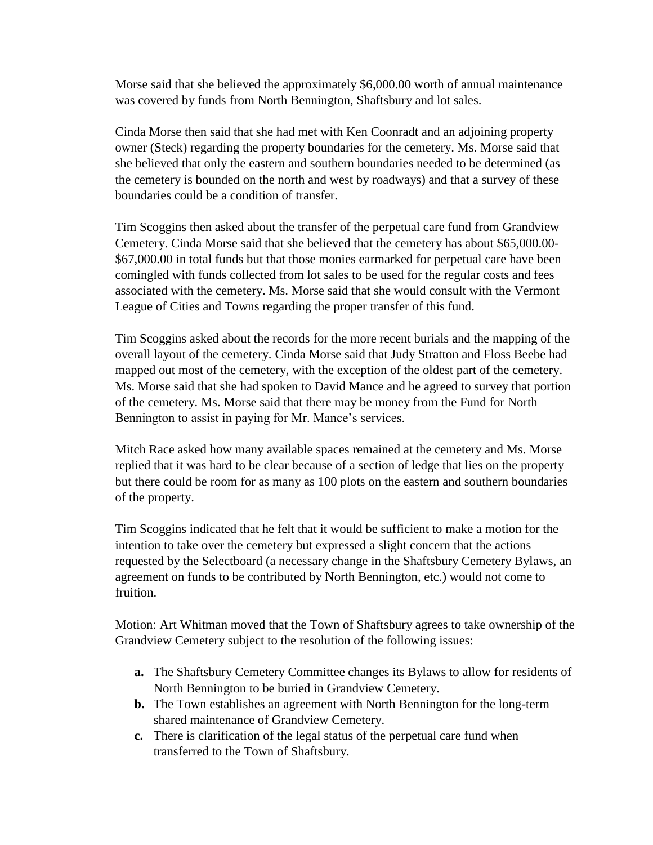Morse said that she believed the approximately \$6,000.00 worth of annual maintenance was covered by funds from North Bennington, Shaftsbury and lot sales.

Cinda Morse then said that she had met with Ken Coonradt and an adjoining property owner (Steck) regarding the property boundaries for the cemetery. Ms. Morse said that she believed that only the eastern and southern boundaries needed to be determined (as the cemetery is bounded on the north and west by roadways) and that a survey of these boundaries could be a condition of transfer.

Tim Scoggins then asked about the transfer of the perpetual care fund from Grandview Cemetery. Cinda Morse said that she believed that the cemetery has about \$65,000.00- \$67,000.00 in total funds but that those monies earmarked for perpetual care have been comingled with funds collected from lot sales to be used for the regular costs and fees associated with the cemetery. Ms. Morse said that she would consult with the Vermont League of Cities and Towns regarding the proper transfer of this fund.

Tim Scoggins asked about the records for the more recent burials and the mapping of the overall layout of the cemetery. Cinda Morse said that Judy Stratton and Floss Beebe had mapped out most of the cemetery, with the exception of the oldest part of the cemetery. Ms. Morse said that she had spoken to David Mance and he agreed to survey that portion of the cemetery. Ms. Morse said that there may be money from the Fund for North Bennington to assist in paying for Mr. Mance's services.

Mitch Race asked how many available spaces remained at the cemetery and Ms. Morse replied that it was hard to be clear because of a section of ledge that lies on the property but there could be room for as many as 100 plots on the eastern and southern boundaries of the property.

Tim Scoggins indicated that he felt that it would be sufficient to make a motion for the intention to take over the cemetery but expressed a slight concern that the actions requested by the Selectboard (a necessary change in the Shaftsbury Cemetery Bylaws, an agreement on funds to be contributed by North Bennington, etc.) would not come to fruition.

Motion: Art Whitman moved that the Town of Shaftsbury agrees to take ownership of the Grandview Cemetery subject to the resolution of the following issues:

- **a.** The Shaftsbury Cemetery Committee changes its Bylaws to allow for residents of North Bennington to be buried in Grandview Cemetery.
- **b.** The Town establishes an agreement with North Bennington for the long-term shared maintenance of Grandview Cemetery.
- **c.** There is clarification of the legal status of the perpetual care fund when transferred to the Town of Shaftsbury.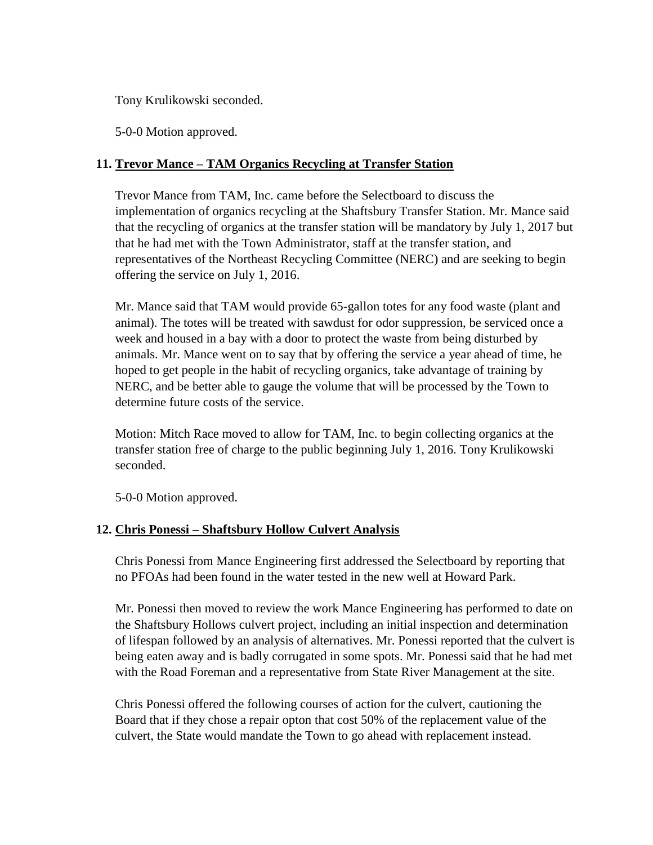Tony Krulikowski seconded.

5-0-0 Motion approved.

# **11. Trevor Mance – TAM Organics Recycling at Transfer Station**

Trevor Mance from TAM, Inc. came before the Selectboard to discuss the implementation of organics recycling at the Shaftsbury Transfer Station. Mr. Mance said that the recycling of organics at the transfer station will be mandatory by July 1, 2017 but that he had met with the Town Administrator, staff at the transfer station, and representatives of the Northeast Recycling Committee (NERC) and are seeking to begin offering the service on July 1, 2016.

Mr. Mance said that TAM would provide 65-gallon totes for any food waste (plant and animal). The totes will be treated with sawdust for odor suppression, be serviced once a week and housed in a bay with a door to protect the waste from being disturbed by animals. Mr. Mance went on to say that by offering the service a year ahead of time, he hoped to get people in the habit of recycling organics, take advantage of training by NERC, and be better able to gauge the volume that will be processed by the Town to determine future costs of the service.

Motion: Mitch Race moved to allow for TAM, Inc. to begin collecting organics at the transfer station free of charge to the public beginning July 1, 2016. Tony Krulikowski seconded.

5-0-0 Motion approved.

# **12. Chris Ponessi – Shaftsbury Hollow Culvert Analysis**

Chris Ponessi from Mance Engineering first addressed the Selectboard by reporting that no PFOAs had been found in the water tested in the new well at Howard Park.

Mr. Ponessi then moved to review the work Mance Engineering has performed to date on the Shaftsbury Hollows culvert project, including an initial inspection and determination of lifespan followed by an analysis of alternatives. Mr. Ponessi reported that the culvert is being eaten away and is badly corrugated in some spots. Mr. Ponessi said that he had met with the Road Foreman and a representative from State River Management at the site.

Chris Ponessi offered the following courses of action for the culvert, cautioning the Board that if they chose a repair opton that cost 50% of the replacement value of the culvert, the State would mandate the Town to go ahead with replacement instead.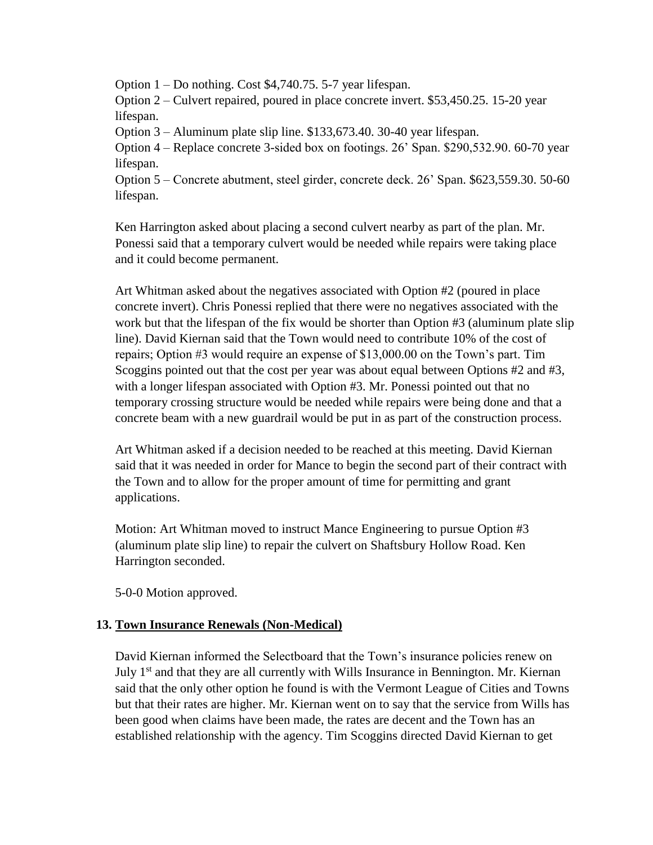Option 1 – Do nothing. Cost \$4,740.75. 5-7 year lifespan.

Option 2 – Culvert repaired, poured in place concrete invert. \$53,450.25. 15-20 year lifespan.

Option 3 – Aluminum plate slip line. \$133,673.40. 30-40 year lifespan.

Option 4 – Replace concrete 3-sided box on footings. 26' Span. \$290,532.90. 60-70 year lifespan.

Option 5 – Concrete abutment, steel girder, concrete deck. 26' Span. \$623,559.30. 50-60 lifespan.

Ken Harrington asked about placing a second culvert nearby as part of the plan. Mr. Ponessi said that a temporary culvert would be needed while repairs were taking place and it could become permanent.

Art Whitman asked about the negatives associated with Option #2 (poured in place concrete invert). Chris Ponessi replied that there were no negatives associated with the work but that the lifespan of the fix would be shorter than Option #3 (aluminum plate slip line). David Kiernan said that the Town would need to contribute 10% of the cost of repairs; Option #3 would require an expense of \$13,000.00 on the Town's part. Tim Scoggins pointed out that the cost per year was about equal between Options #2 and #3, with a longer lifespan associated with Option #3. Mr. Ponessi pointed out that no temporary crossing structure would be needed while repairs were being done and that a concrete beam with a new guardrail would be put in as part of the construction process.

Art Whitman asked if a decision needed to be reached at this meeting. David Kiernan said that it was needed in order for Mance to begin the second part of their contract with the Town and to allow for the proper amount of time for permitting and grant applications.

Motion: Art Whitman moved to instruct Mance Engineering to pursue Option #3 (aluminum plate slip line) to repair the culvert on Shaftsbury Hollow Road. Ken Harrington seconded.

5-0-0 Motion approved.

# **13. Town Insurance Renewals (Non-Medical)**

David Kiernan informed the Selectboard that the Town's insurance policies renew on July  $1<sup>st</sup>$  and that they are all currently with Wills Insurance in Bennington. Mr. Kiernan said that the only other option he found is with the Vermont League of Cities and Towns but that their rates are higher. Mr. Kiernan went on to say that the service from Wills has been good when claims have been made, the rates are decent and the Town has an established relationship with the agency. Tim Scoggins directed David Kiernan to get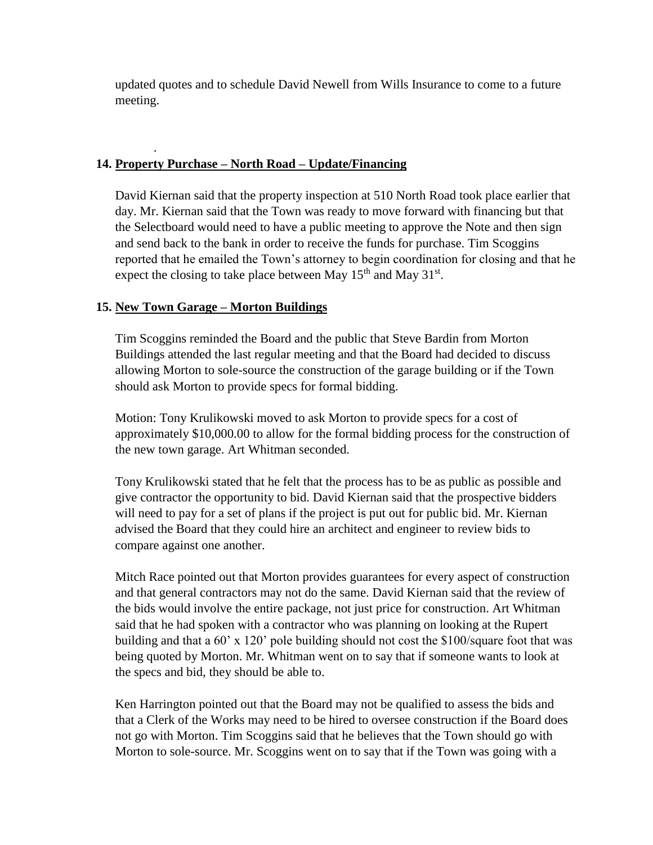updated quotes and to schedule David Newell from Wills Insurance to come to a future meeting.

# **14. Property Purchase – North Road – Update/Financing**

David Kiernan said that the property inspection at 510 North Road took place earlier that day. Mr. Kiernan said that the Town was ready to move forward with financing but that the Selectboard would need to have a public meeting to approve the Note and then sign and send back to the bank in order to receive the funds for purchase. Tim Scoggins reported that he emailed the Town's attorney to begin coordination for closing and that he expect the closing to take place between May  $15<sup>th</sup>$  and May  $31<sup>st</sup>$ .

# **15. New Town Garage – Morton Buildings**

.

Tim Scoggins reminded the Board and the public that Steve Bardin from Morton Buildings attended the last regular meeting and that the Board had decided to discuss allowing Morton to sole-source the construction of the garage building or if the Town should ask Morton to provide specs for formal bidding.

Motion: Tony Krulikowski moved to ask Morton to provide specs for a cost of approximately \$10,000.00 to allow for the formal bidding process for the construction of the new town garage. Art Whitman seconded.

Tony Krulikowski stated that he felt that the process has to be as public as possible and give contractor the opportunity to bid. David Kiernan said that the prospective bidders will need to pay for a set of plans if the project is put out for public bid. Mr. Kiernan advised the Board that they could hire an architect and engineer to review bids to compare against one another.

Mitch Race pointed out that Morton provides guarantees for every aspect of construction and that general contractors may not do the same. David Kiernan said that the review of the bids would involve the entire package, not just price for construction. Art Whitman said that he had spoken with a contractor who was planning on looking at the Rupert building and that a 60' x 120' pole building should not cost the \$100/square foot that was being quoted by Morton. Mr. Whitman went on to say that if someone wants to look at the specs and bid, they should be able to.

Ken Harrington pointed out that the Board may not be qualified to assess the bids and that a Clerk of the Works may need to be hired to oversee construction if the Board does not go with Morton. Tim Scoggins said that he believes that the Town should go with Morton to sole-source. Mr. Scoggins went on to say that if the Town was going with a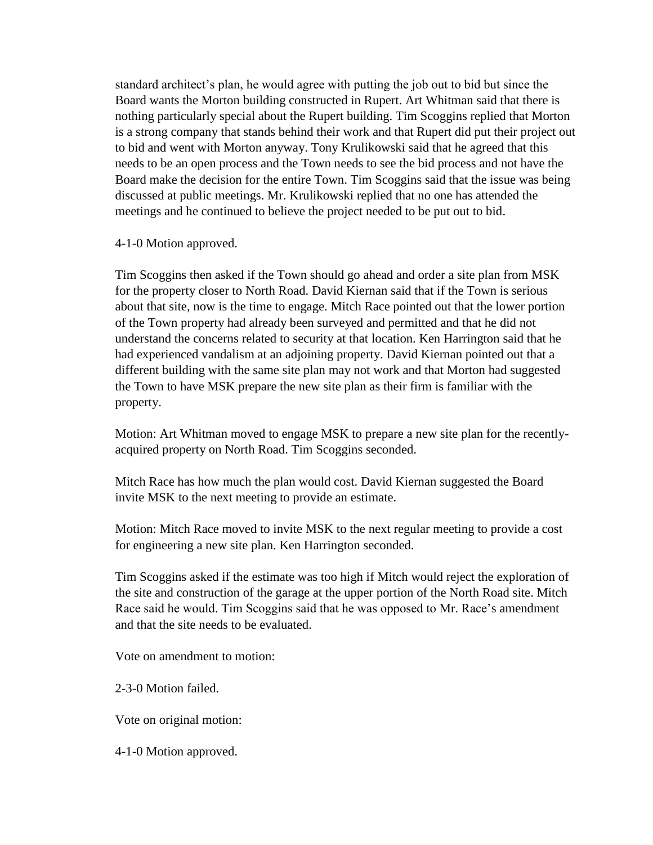standard architect's plan, he would agree with putting the job out to bid but since the Board wants the Morton building constructed in Rupert. Art Whitman said that there is nothing particularly special about the Rupert building. Tim Scoggins replied that Morton is a strong company that stands behind their work and that Rupert did put their project out to bid and went with Morton anyway. Tony Krulikowski said that he agreed that this needs to be an open process and the Town needs to see the bid process and not have the Board make the decision for the entire Town. Tim Scoggins said that the issue was being discussed at public meetings. Mr. Krulikowski replied that no one has attended the meetings and he continued to believe the project needed to be put out to bid.

4-1-0 Motion approved.

Tim Scoggins then asked if the Town should go ahead and order a site plan from MSK for the property closer to North Road. David Kiernan said that if the Town is serious about that site, now is the time to engage. Mitch Race pointed out that the lower portion of the Town property had already been surveyed and permitted and that he did not understand the concerns related to security at that location. Ken Harrington said that he had experienced vandalism at an adjoining property. David Kiernan pointed out that a different building with the same site plan may not work and that Morton had suggested the Town to have MSK prepare the new site plan as their firm is familiar with the property.

Motion: Art Whitman moved to engage MSK to prepare a new site plan for the recentlyacquired property on North Road. Tim Scoggins seconded.

Mitch Race has how much the plan would cost. David Kiernan suggested the Board invite MSK to the next meeting to provide an estimate.

Motion: Mitch Race moved to invite MSK to the next regular meeting to provide a cost for engineering a new site plan. Ken Harrington seconded.

Tim Scoggins asked if the estimate was too high if Mitch would reject the exploration of the site and construction of the garage at the upper portion of the North Road site. Mitch Race said he would. Tim Scoggins said that he was opposed to Mr. Race's amendment and that the site needs to be evaluated.

Vote on amendment to motion:

2-3-0 Motion failed.

Vote on original motion:

4-1-0 Motion approved.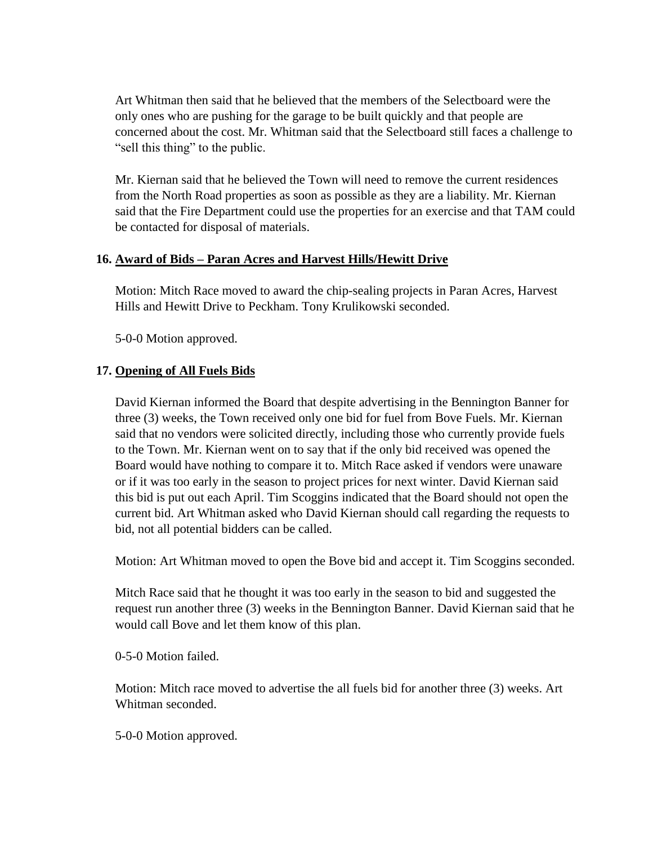Art Whitman then said that he believed that the members of the Selectboard were the only ones who are pushing for the garage to be built quickly and that people are concerned about the cost. Mr. Whitman said that the Selectboard still faces a challenge to "sell this thing" to the public.

Mr. Kiernan said that he believed the Town will need to remove the current residences from the North Road properties as soon as possible as they are a liability. Mr. Kiernan said that the Fire Department could use the properties for an exercise and that TAM could be contacted for disposal of materials.

#### **16. Award of Bids – Paran Acres and Harvest Hills/Hewitt Drive**

Motion: Mitch Race moved to award the chip-sealing projects in Paran Acres, Harvest Hills and Hewitt Drive to Peckham. Tony Krulikowski seconded.

5-0-0 Motion approved.

#### **17. Opening of All Fuels Bids**

David Kiernan informed the Board that despite advertising in the Bennington Banner for three (3) weeks, the Town received only one bid for fuel from Bove Fuels. Mr. Kiernan said that no vendors were solicited directly, including those who currently provide fuels to the Town. Mr. Kiernan went on to say that if the only bid received was opened the Board would have nothing to compare it to. Mitch Race asked if vendors were unaware or if it was too early in the season to project prices for next winter. David Kiernan said this bid is put out each April. Tim Scoggins indicated that the Board should not open the current bid. Art Whitman asked who David Kiernan should call regarding the requests to bid, not all potential bidders can be called.

Motion: Art Whitman moved to open the Bove bid and accept it. Tim Scoggins seconded.

Mitch Race said that he thought it was too early in the season to bid and suggested the request run another three (3) weeks in the Bennington Banner. David Kiernan said that he would call Bove and let them know of this plan.

0-5-0 Motion failed.

Motion: Mitch race moved to advertise the all fuels bid for another three (3) weeks. Art Whitman seconded.

5-0-0 Motion approved.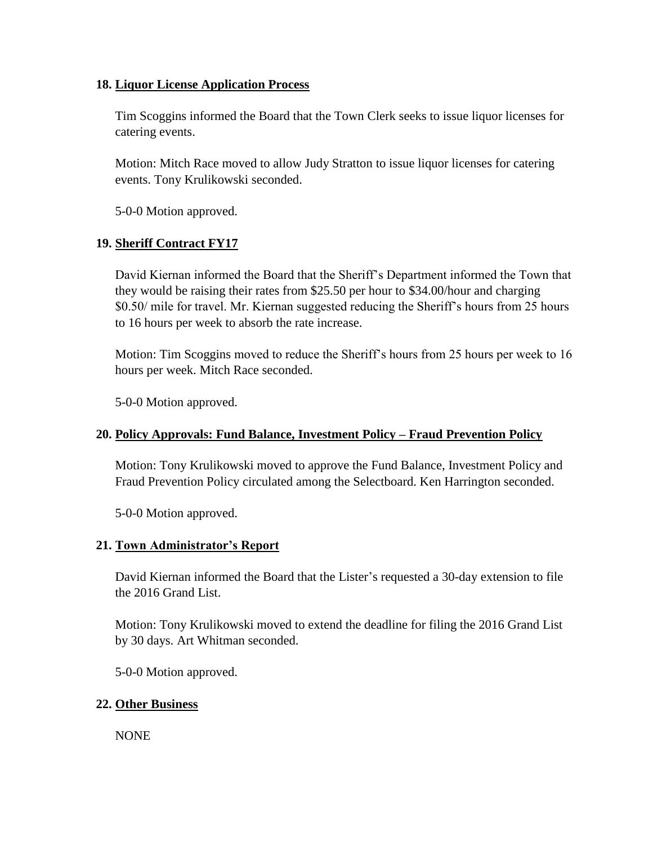#### **18. Liquor License Application Process**

Tim Scoggins informed the Board that the Town Clerk seeks to issue liquor licenses for catering events.

Motion: Mitch Race moved to allow Judy Stratton to issue liquor licenses for catering events. Tony Krulikowski seconded.

5-0-0 Motion approved.

# **19. Sheriff Contract FY17**

David Kiernan informed the Board that the Sheriff's Department informed the Town that they would be raising their rates from \$25.50 per hour to \$34.00/hour and charging \$0.50/ mile for travel. Mr. Kiernan suggested reducing the Sheriff's hours from 25 hours to 16 hours per week to absorb the rate increase.

Motion: Tim Scoggins moved to reduce the Sheriff's hours from 25 hours per week to 16 hours per week. Mitch Race seconded.

5-0-0 Motion approved.

# **20. Policy Approvals: Fund Balance, Investment Policy – Fraud Prevention Policy**

Motion: Tony Krulikowski moved to approve the Fund Balance, Investment Policy and Fraud Prevention Policy circulated among the Selectboard. Ken Harrington seconded.

5-0-0 Motion approved.

# **21. Town Administrator's Report**

David Kiernan informed the Board that the Lister's requested a 30-day extension to file the 2016 Grand List.

Motion: Tony Krulikowski moved to extend the deadline for filing the 2016 Grand List by 30 days. Art Whitman seconded.

5-0-0 Motion approved.

# **22. Other Business**

NONE